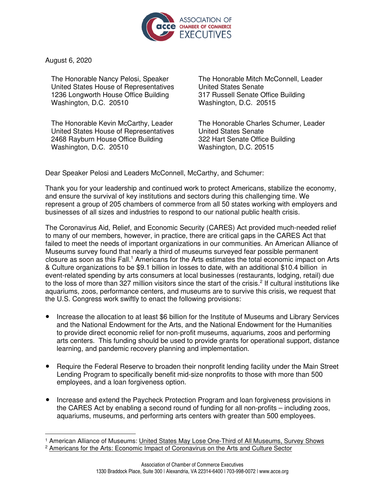

August 6, 2020

The Honorable Nancy Pelosi, Speaker United States House of Representatives 1236 Longworth House Office Building Washington, D.C. 20510

The Honorable Kevin McCarthy, Leader United States House of Representatives 2468 Rayburn House Office Building Washington, D.C. 20510

The Honorable Mitch McConnell, Leader United States Senate 317 Russell Senate Office Building Washington, D.C. 20515

The Honorable Charles Schumer, Leader United States Senate 322 Hart Senate Office Building Washington, D.C. 20515

Dear Speaker Pelosi and Leaders McConnell, McCarthy, and Schumer:

Thank you for your leadership and continued work to protect Americans, stabilize the economy, and ensure the survival of key institutions and sectors during this challenging time. We represent a group of 205 chambers of commerce from all 50 states working with employers and businesses of all sizes and industries to respond to our national public health crisis.

The Coronavirus Aid, Relief, and Economic Security (CARES) Act provided much-needed relief to many of our members, however, in practice, there are critical gaps in the CARES Act that failed to meet the needs of important organizations in our communities. An American Alliance of Museums survey found that nearly a third of museums surveyed fear possible permanent closure as soon as this Fall.<sup>[1](#page-0-0)</sup> Americans for the Arts estimates the total economic impact on Arts & Culture organizations to be \$9.1 billion in losses to date, with an additional \$10.4 billion in event-related spending by arts consumers at local businesses (restaurants, lodging, retail) due to the loss of more than 3[2](#page-0-1)7 million visitors since the start of the crisis.<sup>2</sup> If cultural institutions like aquariums, zoos, performance centers, and museums are to survive this crisis, we request that the U.S. Congress work swiftly to enact the following provisions:

- Increase the allocation to at least \$6 billion for the Institute of Museums and Library Services and the National Endowment for the Arts, and the National Endowment for the Humanities to provide direct economic relief for non-profit museums, aquariums, zoos and performing arts centers. This funding should be used to provide grants for operational support, distance learning, and pandemic recovery planning and implementation.
- Require the Federal Reserve to broaden their nonprofit lending facility under the Main Street Lending Program to specifically benefit mid-size nonprofits to those with more than 500 employees, and a loan forgiveness option.
- Increase and extend the Paycheck Protection Program and loan forgiveness provisions in the CARES Act by enabling a second round of funding for all non-profits – including zoos, aquariums, museums, and performing arts centers with greater than 500 employees.

<span id="page-0-0"></span><sup>&</sup>lt;sup>1</sup> American Alliance of Museums: United States May Lose One-Third of All [Museums,](https://www.aam-us.org/2020/07/22/united-states-may-lose-one-third-of-all-museums-new-survey-shows/) Survey Shows

<span id="page-0-1"></span><sup>&</sup>lt;sup>2</sup> Americans for the Arts: Economic Impact of [Coronavirus](https://www.americansforthearts.org/by-topic/disaster-preparedness/the-economic-impact-of-coronavirus-on-the-arts-and-culture-sector) on the Arts and Culture Sector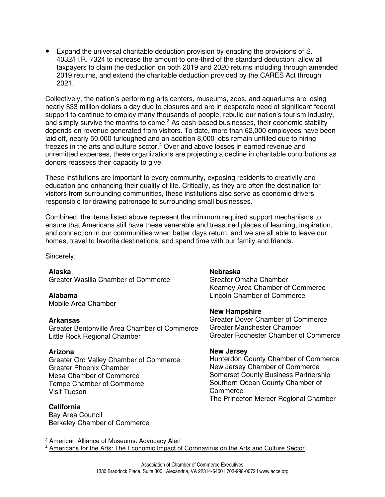● Expand the universal charitable deduction provision by enacting the provisions of S. 4032/H.R. 7324 to increase the amount to one-third of the standard deduction, allow all taxpayers to claim the deduction on both 2019 and 2020 returns including through amended 2019 returns, and extend the charitable deduction provided by the CARES Act through 2021.

Collectively, the nation's performing arts centers, museums, zoos, and aquariums are losing nearly \$33 million dollars a day due to closures and are in desperate need of significant federal support to continue to employ many thousands of people, rebuild our nation's tourism industry, and simply survive the months to come.<sup>[3](#page-1-0)</sup> As cash-based businesses, their economic stability depends on revenue generated from visitors. To date, more than 62,000 employees have been laid off, nearly 50,000 furloughed and an addition 8,000 jobs remain unfilled due to hiring freezes in the arts and culture sector. [4](#page-1-1) Over and above losses in earned revenue and unremitted expenses, these organizations are projecting a decline in charitable contributions as donors reassess their capacity to give.

These institutions are important to every community, exposing residents to creativity and education and enhancing their quality of life. Critically, as they are often the destination for visitors from surrounding communities, these institutions also serve as economic drivers responsible for drawing patronage to surrounding small businesses.

Combined, the items listed above represent the minimum required support mechanisms to ensure that Americans still have these venerable and treasured places of learning, inspiration, and connection in our communities when better days return, and we are all able to leave our homes, travel to favorite destinations, and spend time with our family and friends.

Sincerely,

**Alaska**

Greater Wasilla Chamber of Commerce

**Alabama** Mobile Area Chamber

### **Arkansas**

Greater Bentonville Area Chamber of Commerce Little Rock Regional Chamber

### **Arizona**

Greater Oro Valley Chamber of Commerce Greater Phoenix Chamber Mesa Chamber of Commerce Tempe Chamber of Commerce Visit Tucson

### **California**

Bay Area Council Berkeley Chamber of Commerce

### **Nebraska**

Greater Omaha Chamber Kearney Area Chamber of Commerce Lincoln Chamber of Commerce

### **New Hampshire**

Greater Dover Chamber of Commerce Greater Manchester Chamber Greater Rochester Chamber of Commerce

### **New Jersey**

Hunterdon County Chamber of Commerce New Jersey Chamber of Commerce Somerset County Business Partnership Southern Ocean County Chamber of Commerce The Princeton Mercer Regional Chamber

<span id="page-1-0"></span><sup>3</sup> American Alliance of Museums: [Advocacy](https://www.aam-us.org/2020/06/24/congress-to-consider-pandemic-relief-funding-and-fy-2021-appropriations-invite-congress-to-visit-your-museum-2020/) Alert

<span id="page-1-1"></span><sup>4</sup> Americans for the Arts: The Economic Impact of [Coronavirus](https://www.americansforthearts.org/by-topic/disaster-preparedness/the-economic-impact-of-coronavirus-on-the-arts-and-culture-sector) on the Arts and Culture Sector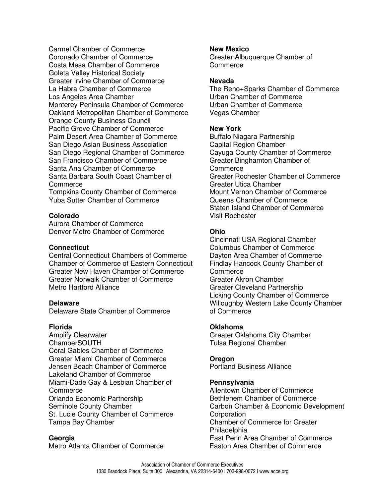Carmel Chamber of Commerce Coronado Chamber of Commerce Costa Mesa Chamber of Commerce Goleta Valley Historical Society Greater Irvine Chamber of Commerce La Habra Chamber of Commerce Los Angeles Area Chamber Monterey Peninsula Chamber of Commerce Oakland Metropolitan Chamber of Commerce Orange County Business Council Pacific Grove Chamber of Commerce Palm Desert Area Chamber of Commerce San Diego Asian Business Association San Diego Regional Chamber of Commerce San Francisco Chamber of Commerce Santa Ana Chamber of Commerce Santa Barbara South Coast Chamber of Commerce

Tompkins County Chamber of Commerce Yuba Sutter Chamber of Commerce

# **Colorado**

Aurora Chamber of Commerce Denver Metro Chamber of Commerce

## **Connecticut**

Central Connecticut Chambers of Commerce Chamber of Commerce of Eastern Connecticut Greater New Haven Chamber of Commerce Greater Norwalk Chamber of Commerce Metro Hartford Alliance

### **Delaware**

Delaware State Chamber of Commerce

### **Florida**

Amplify Clearwater ChamberSOUTH Coral Gables Chamber of Commerce Greater Miami Chamber of Commerce Jensen Beach Chamber of Commerce Lakeland Chamber of Commerce Miami-Dade Gay & Lesbian Chamber of **Commerce** Orlando Economic Partnership Seminole County Chamber St. Lucie County Chamber of Commerce Tampa Bay Chamber

### **Georgia**

Metro Atlanta Chamber of Commerce

## **New Mexico**

Greater Albuquerque Chamber of **Commerce** 

#### **Nevada**

The Reno+Sparks Chamber of Commerce Urban Chamber of Commerce Urban Chamber of Commerce Vegas Chamber

## **New York**

Buffalo Niagara Partnership Capital Region Chamber Cayuga County Chamber of Commerce Greater Binghamton Chamber of **Commerce** Greater Rochester Chamber of Commerce Greater Utica Chamber Mount Vernon Chamber of Commerce Queens Chamber of Commerce Staten Island Chamber of Commerce Visit Rochester

# **Ohio**

Cincinnati USA Regional Chamber Columbus Chamber of Commerce Dayton Area Chamber of Commerce Findlay Hancock County Chamber of **Commerce** Greater Akron Chamber Greater Cleveland Partnership Licking County Chamber of Commerce Willoughby Western Lake County Chamber of Commerce

### **Oklahoma**

Greater Oklahoma City Chamber Tulsa Regional Chamber

### **Oregon**

Portland Business Alliance

### **Pennsylvania**

Allentown Chamber of Commerce Bethlehem Chamber of Commerce Carbon Chamber & Economic Development **Corporation** Chamber of Commerce for Greater **Philadelphia** East Penn Area Chamber of Commerce Easton Area Chamber of Commerce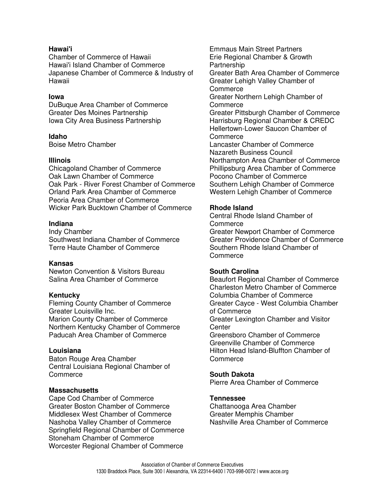# **Hawai'i**

Chamber of Commerce of Hawaii Hawai'i Island Chamber of Commerce Japanese Chamber of Commerce & Industry of Hawaii

## **Iowa**

DuBuque Area Chamber of Commerce Greater Des Moines Partnership Iowa City Area Business Partnership

# **Idaho**

Boise Metro Chamber

# **Illinois**

Chicagoland Chamber of Commerce Oak Lawn Chamber of Commerce Oak Park - River Forest Chamber of Commerce Orland Park Area Chamber of Commerce Peoria Area Chamber of Commerce Wicker Park Bucktown Chamber of Commerce

# **Indiana**

Indy Chamber Southwest Indiana Chamber of Commerce Terre Haute Chamber of Commerce

### **Kansas**

Newton Convention & Visitors Bureau Salina Area Chamber of Commerce

# **Kentucky**

Fleming County Chamber of Commerce Greater Louisville Inc. Marion County Chamber of Commerce Northern Kentucky Chamber of Commerce Paducah Area Chamber of Commerce

# **Louisiana**

Baton Rouge Area Chamber Central Louisiana Regional Chamber of **Commerce** 

### **Massachusetts**

Cape Cod Chamber of Commerce Greater Boston Chamber of Commerce Middlesex West Chamber of Commerce Nashoba Valley Chamber of Commerce Springfield Regional Chamber of Commerce Stoneham Chamber of Commerce Worcester Regional Chamber of Commerce

Emmaus Main Street Partners Erie Regional Chamber & Growth Partnership Greater Bath Area Chamber of Commerce Greater Lehigh Valley Chamber of **Commerce** Greater Northern Lehigh Chamber of Commerce Greater Pittsburgh Chamber of Commerce Harrisburg Regional Chamber & CREDC Hellertown-Lower Saucon Chamber of Commerce Lancaster Chamber of Commerce Nazareth Business Council Northampton Area Chamber of Commerce Phillipsburg Area Chamber of Commerce Pocono Chamber of Commerce Southern Lehigh Chamber of Commerce Western Lehigh Chamber of Commerce

# **Rhode Island**

Central Rhode Island Chamber of Commerce Greater Newport Chamber of Commerce Greater Providence Chamber of Commerce Southern Rhode Island Chamber of Commerce

### **South Carolina**

Beaufort Regional Chamber of Commerce Charleston Metro Chamber of Commerce Columbia Chamber of Commerce Greater Cayce - West Columbia Chamber of Commerce Greater Lexington Chamber and Visitor **Center** Greensboro Chamber of Commerce Greenville Chamber of Commerce Hilton Head Island-Bluffton Chamber of **Commerce** 

## **South Dakota**

Pierre Area Chamber of Commerce

# **Tennessee**

Chattanooga Area Chamber Greater Memphis Chamber Nashville Area Chamber of Commerce